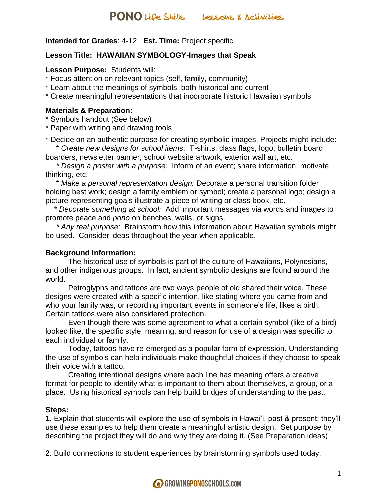### **Intended for Grades**: 4-12 **Est. Time:** Project specific

### **Lesson Title: HAWAIIAN SYMBOLOGY-Images that Speak**

### **Lesson Purpose:** Students will:

\* Focus attention on relevant topics (self, family, community)

\* Learn about the meanings of symbols, both historical and current

\* Create meaningful representations that incorporate historic Hawaiian symbols

### **Materials & Preparation:**

\* Symbols handout (See below)

\* Paper with writing and drawing tools

\* Decide on an authentic purpose for creating symbolic images. Projects might include: \* *Create new designs for school items*: T-shirts, class flags, logo, bulletin board

boarders, newsletter banner, school website artwork, exterior wall art, etc.

 *\* Design a poster with a purpose:* Inform of an event; share information, motivate thinking, etc.

 \* *Make a personal representation design:* Decorate a personal transition folder holding best work; design a family emblem or symbol; create a personal logo; design a picture representing goals illustrate a piece of writing or class book, etc.

 *\* Decorate something at school:* Add important messages via words and images to promote peace and *pono* on benches, walls, or signs.

 *\* Any real purpose:* Brainstorm how this information about Hawaiian symbols might be used. Consider ideas throughout the year when applicable.

### **Background Information:**

The historical use of symbols is part of the culture of Hawaiians, Polynesians, and other indigenous groups. In fact, ancient symbolic designs are found around the world.

Petroglyphs and tattoos are two ways people of old shared their voice. These designs were created with a specific intention, like stating where you came from and who your family was, or recording important events in someone's life, likes a birth. Certain tattoos were also considered protection.

Even though there was some agreement to what a certain symbol (like of a bird) looked like, the specific style, meaning, and reason for use of a design was specific to each individual or family.

Today, tattoos have re-emerged as a popular form of expression. Understanding the use of symbols can help individuals make thoughtful choices if they choose to speak their voice with a tattoo.

Creating intentional designs where each line has meaning offers a creative format for people to identify what is important to them about themselves, a group, or a place. Using historical symbols can help build bridges of understanding to the past.

### **Steps:**

**1.** Explain that students will explore the use of symbols in Hawai'i, past & present; they'll use these examples to help them create a meaningful artistic design. Set purpose by describing the project they will do and why they are doing it. (See Preparation ideas)

**2**. Build connections to student experiences by brainstorming symbols used today.

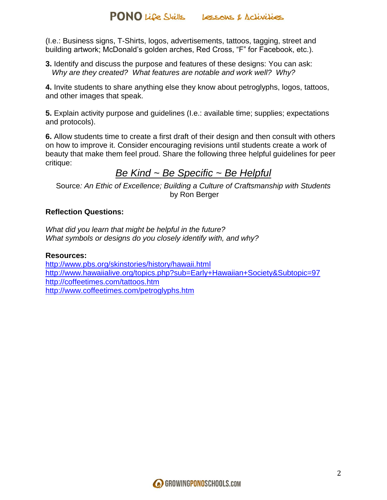(I.e.: Business signs, T-Shirts, logos, advertisements, tattoos, tagging, street and building artwork; McDonald's golden arches, Red Cross, "F" for Facebook, etc.).

**3.** Identify and discuss the purpose and features of these designs: You can ask: *Why are they created? What features are notable and work well? Why?*

**4.** Invite students to share anything else they know about petroglyphs, logos, tattoos, and other images that speak.

**5.** Explain activity purpose and guidelines (I.e.: available time; supplies; expectations and protocols).

**6.** Allow students time to create a first draft of their design and then consult with others on how to improve it. Consider encouraging revisions until students create a work of beauty that make them feel proud. Share the following three helpful guidelines for peer critique:

# *Be Kind ~ Be Specific ~ Be Helpful*

Source*: An Ethic of Excellence; Building a Culture of Craftsmanship with Students* by Ron Berger

# **Reflection Questions:**

*What did you learn that might be helpful in the future? What symbols or designs do you closely identify with, and why?*

## **Resources:**

<http://www.pbs.org/skinstories/history/hawaii.html> <http://www.hawaiialive.org/topics.php?sub=Early+Hawaiian+Society&Subtopic=97> <http://coffeetimes.com/tattoos.htm> <http://www.coffeetimes.com/petroglyphs.htm>